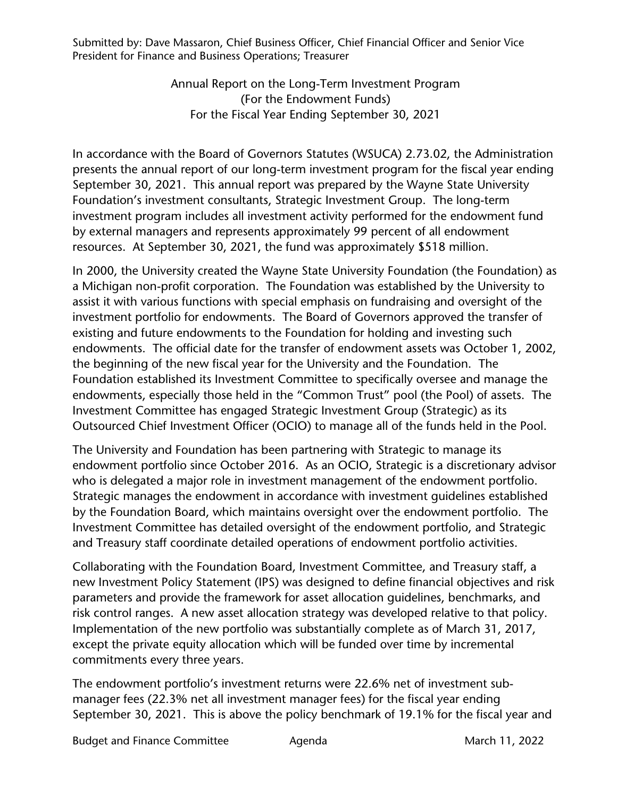Submitted by: Dave Massaron, Chief Business Officer, Chief Financial Officer and Senior Vice President for Finance and Business Operations; Treasurer

> Annual Report on the Long-Term Investment Program (For the Endowment Funds) For the Fiscal Year Ending September 30, 2021

In accordance with the Board of Governors Statutes (WSUCA) 2.73.02, the Administration presents the annual report of our long-term investment program for the fiscal year ending September 30, 2021. This annual report was prepared by the Wayne State University Foundation's investment consultants, Strategic Investment Group. The long-term investment program includes all investment activity performed for the endowment fund by external managers and represents approximately 99 percent of all endowment resources. At September 30, 2021, the fund was approximately \$518 million.

In 2000, the University created the Wayne State University Foundation (the Foundation) as a Michigan non-profit corporation. The Foundation was established by the University to assist it with various functions with special emphasis on fundraising and oversight of the investment portfolio for endowments. The Board of Governors approved the transfer of existing and future endowments to the Foundation for holding and investing such endowments. The official date for the transfer of endowment assets was October 1, 2002, the beginning of the new fiscal year for the University and the Foundation. The Foundation established its Investment Committee to specifically oversee and manage the endowments, especially those held in the "Common Trust" pool (the Pool) of assets. The Investment Committee has engaged Strategic Investment Group (Strategic) as its Outsourced Chief Investment Officer (OCIO) to manage all of the funds held in the Pool.

The University and Foundation has been partnering with Strategic to manage its endowment portfolio since October 2016. As an OCIO, Strategic is a discretionary advisor who is delegated a major role in investment management of the endowment portfolio. Strategic manages the endowment in accordance with investment guidelines established by the Foundation Board, which maintains oversight over the endowment portfolio. The Investment Committee has detailed oversight of the endowment portfolio, and Strategic and Treasury staff coordinate detailed operations of endowment portfolio activities.

Collaborating with the Foundation Board, Investment Committee, and Treasury staff, a new Investment Policy Statement (IPS) was designed to define financial objectives and risk parameters and provide the framework for asset allocation guidelines, benchmarks, and risk control ranges. A new asset allocation strategy was developed relative to that policy. Implementation of the new portfolio was substantially complete as of March 31, 2017, except the private equity allocation which will be funded over time by incremental commitments every three years.

The endowment portfolio's investment returns were 22.6% net of investment submanager fees (22.3% net all investment manager fees) for the fiscal year ending September 30, 2021. This is above the policy benchmark of 19.1% for the fiscal year and

Budget and Finance Committee  $\overline{A}$  Agenda March 11, 2022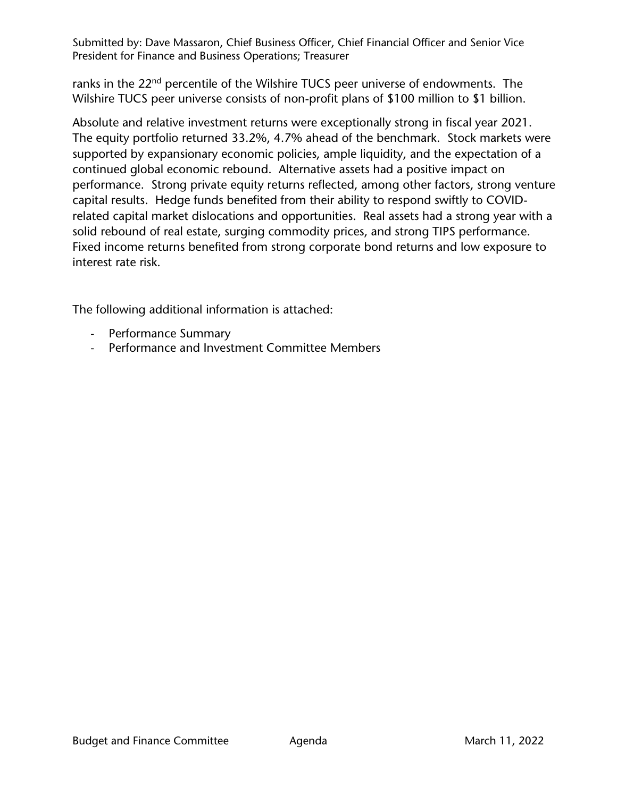Submitted by: Dave Massaron, Chief Business Officer, Chief Financial Officer and Senior Vice President for Finance and Business Operations; Treasurer

ranks in the 22<sup>nd</sup> percentile of the Wilshire TUCS peer universe of endowments. The Wilshire TUCS peer universe consists of non-profit plans of \$100 million to \$1 billion.

Absolute and relative investment returns were exceptionally strong in fiscal year 2021. The equity portfolio returned 33.2%, 4.7% ahead of the benchmark. Stock markets were supported by expansionary economic policies, ample liquidity, and the expectation of a continued global economic rebound. Alternative assets had a positive impact on performance. Strong private equity returns reflected, among other factors, strong venture capital results. Hedge funds benefited from their ability to respond swiftly to COVIDrelated capital market dislocations and opportunities. Real assets had a strong year with a solid rebound of real estate, surging commodity prices, and strong TIPS performance. Fixed income returns benefited from strong corporate bond returns and low exposure to interest rate risk.

The following additional information is attached:

- Performance Summary
- Performance and Investment Committee Members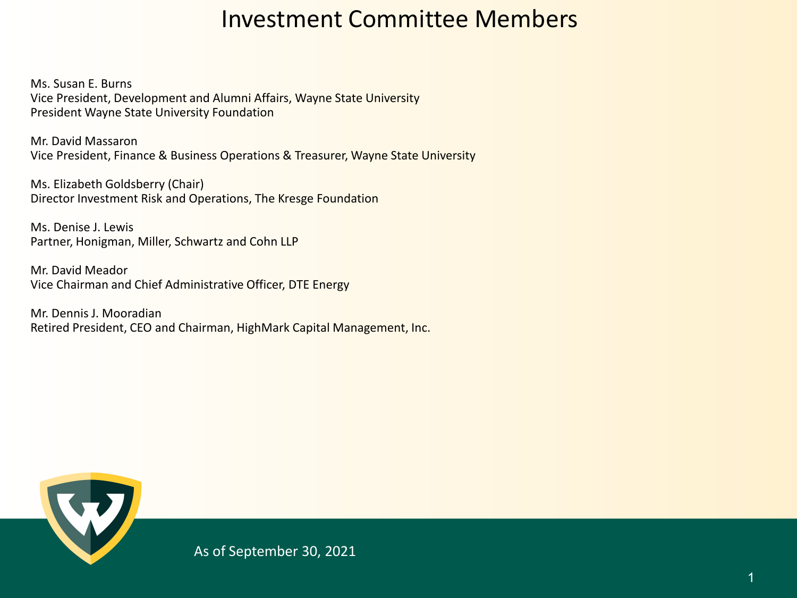## Investment Committee Members

Ms. Susan E. Burns Vice President, Development and Alumni Affairs, Wayne State University President Wayne State University Foundation

Mr. David Massaron Vice President, Finance & Business Operations & Treasurer, Wayne State University

Ms. Elizabeth Goldsberry (Chair) Director Investment Risk and Operations, The Kresge Foundation

Ms. Denise J. Lewis Partner, Honigman, Miller, Schwartz and Cohn LLP

Mr. David Meador Vice Chairman and Chief Administrative Officer, DTE Energy

Mr. Dennis J. Mooradian Retired President, CEO and Chairman, HighMark Capital Management, Inc.



As of September 30, 2021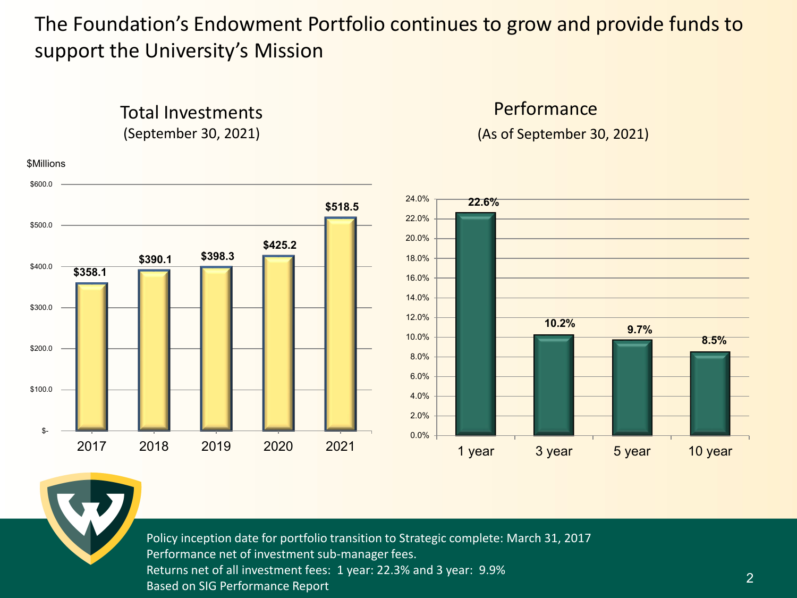## The Foundation's Endowment Portfolio continues to grow and provide funds to support the University's Mission

Performance



Total Investments

Policy inception date for portfolio transition to Strategic complete: March 31, 2017 Performance net of investment sub-manager fees. Returns net of all investment fees: 1 year: 22.3% and 3 year: 9.9% Based on SIG Performance Report